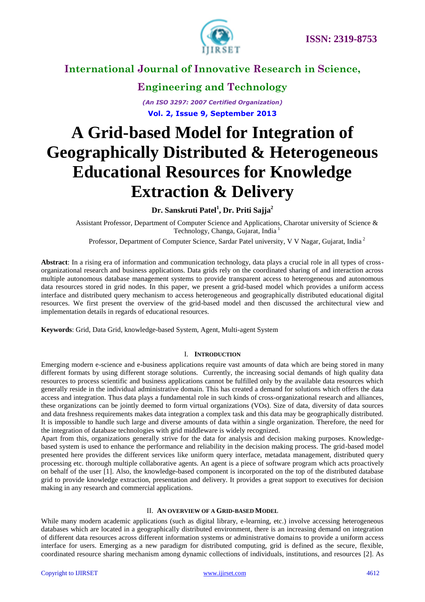

# **Engineering and Technology**

*(An ISO 3297: 2007 Certified Organization)* **Vol. 2, Issue 9, September 2013**

# **A Grid-based Model for Integration of Geographically Distributed & Heterogeneous Educational Resources for Knowledge Extraction & Delivery**

**Dr. Sanskruti Patel<sup>1</sup> , Dr. Priti Sajja<sup>2</sup>**

Assistant Professor, Department of Computer Science and Applications, Charotar university of Science & Technology, Changa, Gujarat, India <sup>1</sup>

Professor, Department of Computer Science, Sardar Patel university, V V Nagar, Gujarat, India<sup>2</sup>

**Abstract**: In a rising era of information and communication technology, data plays a crucial role in all types of crossorganizational research and business applications. Data grids rely on the coordinated sharing of and interaction across multiple autonomous database management systems to provide transparent access to heterogeneous and autonomous data resources stored in grid nodes. In this paper, we present a grid-based model which provides a uniform access interface and distributed query mechanism to access heterogeneous and geographically distributed educational digital resources. We first present the overview of the grid-based model and then discussed the architectural view and implementation details in regards of educational resources.

**Keywords**: Grid, Data Grid, knowledge-based System, Agent, Multi-agent System

#### I. **INTRODUCTION**

Emerging modern e-science and e-business applications require vast amounts of data which are being stored in many different formats by using different storage solutions. Currently, the increasing social demands of high quality data resources to process scientific and business applications cannot be fulfilled only by the available data resources which generally reside in the individual administrative domain. This has created a demand for solutions which offers the data access and integration. Thus data plays a fundamental role in such kinds of cross-organizational research and alliances, these organizations can be jointly deemed to form virtual organizations (VOs). Size of data, diversity of data sources and data freshness requirements makes data integration a complex task and this data may be geographically distributed. It is impossible to handle such large and diverse amounts of data within a single organization. Therefore, the need for the integration of database technologies with grid middleware is widely recognized.

Apart from this, organizations generally strive for the data for analysis and decision making purposes. Knowledgebased system is used to enhance the performance and reliability in the decision making process. The grid-based model presented here provides the different services like uniform query interface, metadata management, distributed query processing etc. thorough multiple collaborative agents. An agent is a piece of software program which acts proactively on behalf of the user [1]. Also, the knowledge-based component is incorporated on the top of the distributed database grid to provide knowledge extraction, presentation and delivery. It provides a great support to executives for decision making in any research and commercial applications.

#### II. **AN OVERVIEW OF A GRID-BASED MODEL**

While many modern academic applications (such as digital library, e-learning, etc.) involve accessing heterogeneous databases which are located in a geographically distributed environment, there is an increasing demand on integration of different data resources across different information systems or administrative domains to provide a uniform access interface for users. Emerging as a new paradigm for distributed computing, grid is defined as the secure, flexible, coordinated resource sharing mechanism among dynamic collections of individuals, institutions, and resources [2]. As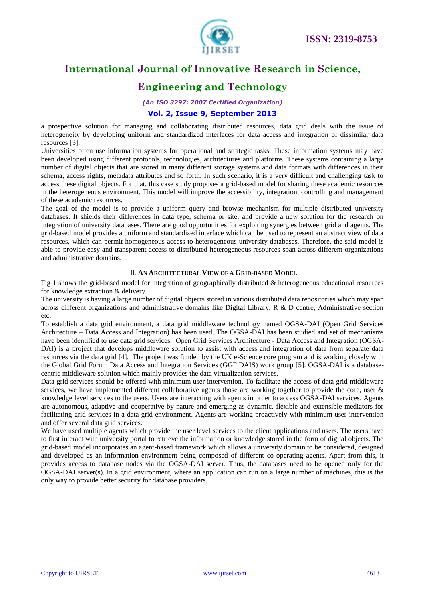

### **Engineering and Technology**

*(An ISO 3297: 2007 Certified Organization)*

#### **Vol. 2, Issue 9, September 2013**

a prospective solution for managing and collaborating distributed resources, data grid deals with the issue of heterogeneity by developing uniform and standardized interfaces for data access and integration of dissimilar data resources [3].

Universities often use information systems for operational and strategic tasks. These information systems may have been developed using different protocols, technologies, architectures and platforms. These systems containing a large number of digital objects that are stored in many different storage systems and data formats with differences in their schema, access rights, metadata attributes and so forth. In such scenario, it is a very difficult and challenging task to access these digital objects. For that, this case study proposes a grid-based model for sharing these academic resources in the heterogeneous environment. This model will improve the accessibility, integration, controlling and management of these academic resources.

The goal of the model is to provide a uniform query and browse mechanism for multiple distributed university databases. It shields their differences in data type, schema or site, and provide a new solution for the research on integration of university databases. There are good opportunities for exploiting synergies between grid and agents. The grid-based model provides a uniform and standardized interface which can be used to represent an abstract view of data resources, which can permit homogeneous access to heterogeneous university databases. Therefore, the said model is able to provide easy and transparent access to distributed heterogeneous resources span across different organizations and administrative domains.

#### III. **AN ARCHITECTURAL VIEW OF A GRID-BASED MODEL**

Fig 1 shows the grid-based model for integration of geographically distributed & heterogeneous educational resources for knowledge extraction & delivery.

The university is having a large number of digital objects stored in various distributed data repositories which may span across different organizations and administrative domains like Digital Library, R & D centre, Administrative section etc.

To establish a data grid environment, a data grid middleware technology named OGSA-DAI (Open Grid Services Architecture – Data Access and Integration) has been used. The OGSA-DAI has been studied and set of mechanisms have been identified to use data grid services. Open Grid Services Architecture - Data Access and Integration (OGSA-DAI) is a project that develops middleware solution to assist with access and integration of data from separate data resources via the data grid [4]. The project was funded by the UK e-Science core program and is working closely with the Global Grid Forum Data Access and Integration Services (GGF DAIS) work group [5]. OGSA-DAI is a databasecentric middleware solution which mainly provides the data virtualization services.

Data grid services should be offered with minimum user intervention. To facilitate the access of data grid middleware services, we have implemented different collaborative agents those are working together to provide the core, user & knowledge level services to the users. Users are interacting with agents in order to access OGSA-DAI services. Agents are autonomous, adaptive and cooperative by nature and emerging as dynamic, flexible and extensible mediators for facilitating grid services in a data grid environment. Agents are working proactively with minimum user intervention and offer several data grid services.

We have used multiple agents which provide the user level services to the client applications and users. The users have to first interact with university portal to retrieve the information or knowledge stored in the form of digital objects. The grid-based model incorporates an agent-based framework which allows a university domain to be considered, designed and developed as an information environment being composed of different co-operating agents. Apart from this, it provides access to database nodes via the OGSA-DAI server. Thus, the databases need to be opened only for the OGSA-DAI server(s). In a grid environment, where an application can run on a large number of machines, this is the only way to provide better security for database providers.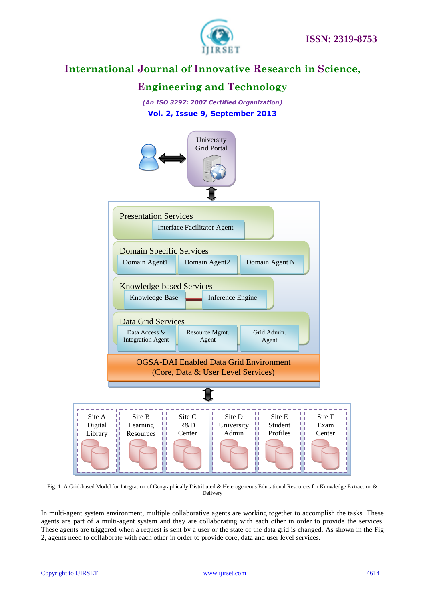

### **Engineering and Technology**

*(An ISO 3297: 2007 Certified Organization)* **Vol. 2, Issue 9, September 2013**



Fig. 1 A Grid-based Model for Integration of Geographically Distributed & Heterogeneous Educational Resources for Knowledge Extraction & Delivery

In multi-agent system environment, multiple collaborative agents are working together to accomplish the tasks. These agents are part of a multi-agent system and they are collaborating with each other in order to provide the services. These agents are triggered when a request is sent by a user or the state of the data grid is changed. As shown in the Fig 2, agents need to collaborate with each other in order to provide core, data and user level services.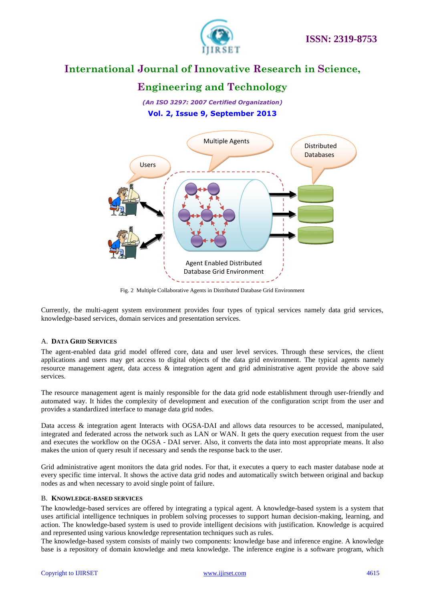

### **Engineering and Technology**

*(An ISO 3297: 2007 Certified Organization)* **Vol. 2, Issue 9, September 2013**



Fig. 2 Multiple Collaborative Agents in Distributed Database Grid Environment

Currently, the multi-agent system environment provides four types of typical services namely data grid services, knowledge-based services, domain services and presentation services.

#### A. **DATA GRID SERVICES**

The agent-enabled data grid model offered core, data and user level services. Through these services, the client applications and users may get access to digital objects of the data grid environment. The typical agents namely resource management agent, data access & integration agent and grid administrative agent provide the above said services.

The resource management agent is mainly responsible for the data grid node establishment through user-friendly and automated way. It hides the complexity of development and execution of the configuration script from the user and provides a standardized interface to manage data grid nodes.

Data access & integration agent Interacts with OGSA-DAI and allows data resources to be accessed, manipulated, integrated and federated across the network such as LAN or WAN. It gets the query execution request from the user and executes the workflow on the OGSA - DAI server. Also, it converts the data into most appropriate means. It also makes the union of query result if necessary and sends the response back to the user.

Grid administrative agent monitors the data grid nodes. For that, it executes a query to each master database node at every specific time interval. It shows the active data grid nodes and automatically switch between original and backup nodes as and when necessary to avoid single point of failure.

#### B. **KNOWLEDGE-BASED SERVICES**

The knowledge-based services are offered by integrating a typical agent. A knowledge-based system is a system that uses artificial intelligence techniques in problem solving processes to support human decision-making, learning, and action. The knowledge-based system is used to provide intelligent decisions with justification. Knowledge is acquired and represented using various knowledge representation techniques such as rules.

The knowledge-based system consists of mainly two components: knowledge base and inference engine. A knowledge base is a repository of domain knowledge and meta knowledge. The inference engine is a software program, which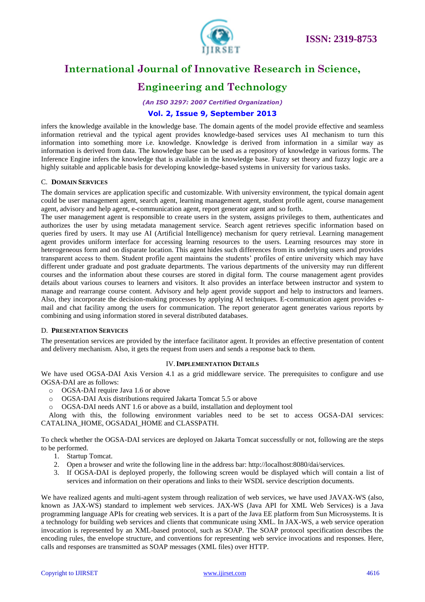

# **Engineering and Technology**

*(An ISO 3297: 2007 Certified Organization)*

#### **Vol. 2, Issue 9, September 2013**

infers the knowledge available in the knowledge base. The domain agents of the model provide effective and seamless information retrieval and the typical agent provides knowledge-based services uses AI mechanism to turn this information into something more i.e. knowledge. Knowledge is derived from information in a similar way as information is derived from data. The knowledge base can be used as a repository of knowledge in various forms. The Inference Engine infers the knowledge that is available in the knowledge base. Fuzzy set theory and fuzzy logic are a highly suitable and applicable basis for developing knowledge-based systems in university for various tasks.

#### C. **DOMAIN SERVICES**

The domain services are application specific and customizable. With university environment, the typical domain agent could be user management agent, search agent, learning management agent, student profile agent, course management agent, advisory and help agent, e-communication agent, report generator agent and so forth.

The user management agent is responsible to create users in the system, assigns privileges to them, authenticates and authorizes the user by using metadata management service. Search agent retrieves specific information based on queries fired by users. It may use AI (Artificial Intelligence) mechanism for query retrieval. Learning management agent provides uniform interface for accessing learning resources to the users. Learning resources may store in heterogeneous form and on disparate location. This agent hides such differences from its underlying users and provides transparent access to them. Student profile agent maintains the students' profiles of entire university which may have different under graduate and post graduate departments. The various departments of the university may run different courses and the information about these courses are stored in digital form. The course management agent provides details about various courses to learners and visitors. It also provides an interface between instructor and system to manage and rearrange course content. Advisory and help agent provide support and help to instructors and learners. Also, they incorporate the decision-making processes by applying AI techniques. E-communication agent provides email and chat facility among the users for communication. The report generator agent generates various reports by combining and using information stored in several distributed databases.

#### D. **PRESENTATION SERVICES**

The presentation services are provided by the interface facilitator agent. It provides an effective presentation of content and delivery mechanism. Also, it gets the request from users and sends a response back to them.

#### IV.**IMPLEMENTATION DETAILS**

We have used OGSA-DAI Axis Version 4.1 as a grid middleware service. The prerequisites to configure and use OGSA-DAI are as follows:

- o OGSA-DAI require Java 1.6 or above
- o OGSA-DAI Axis distributions required Jakarta Tomcat 5.5 or above
- o OGSA-DAI needs ANT 1.6 or above as a build, installation and deployment tool

Along with this, the following environment variables need to be set to access OGSA-DAI services: CATALINA\_HOME, OGSADAI\_HOME and CLASSPATH.

To check whether the OGSA-DAI services are deployed on Jakarta Tomcat successfully or not, following are the steps to be performed.

- 1. Startup Tomcat.
- 2. Open a browser and write the following line in the address bar: http://localhost:8080/dai/services.
- 3. If OGSA-DAI is deployed properly, the following screen would be displayed which will contain a list of services and information on their operations and links to their WSDL service description documents.

We have realized agents and multi-agent system through realization of web services, we have used JAVAX-WS (also, known as JAX-WS) standard to implement web services. JAX-WS (Java API for XML Web Services) is a Java programming language APIs for creating web services. It is a part of the Java EE platform from Sun Microsystems. It is a technology for building web services and clients that communicate using XML. In JAX-WS, a web service operation invocation is represented by an XML-based protocol, such as SOAP. The SOAP protocol specification describes the encoding rules, the envelope structure, and conventions for representing web service invocations and responses. Here, calls and responses are transmitted as SOAP messages (XML files) over HTTP.